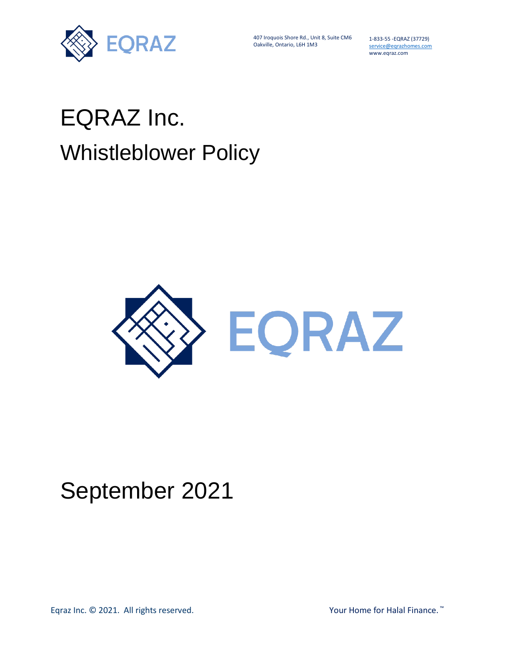

407 Iroquois Shore Rd., Unit 8, Suite CM6 Oakville, Ontario, L6H 1M3

1-833-55 -EQRAZ (37729) service@eqrazhomes.com www.eqraz.com

# EQRAZ Inc. Whistleblower Policy



# September 2021

Eqraz Inc. © 2021. All rights reserved. The matrix of the Manuson of Halal Finance. ™ The Your Home for Halal Finance. ™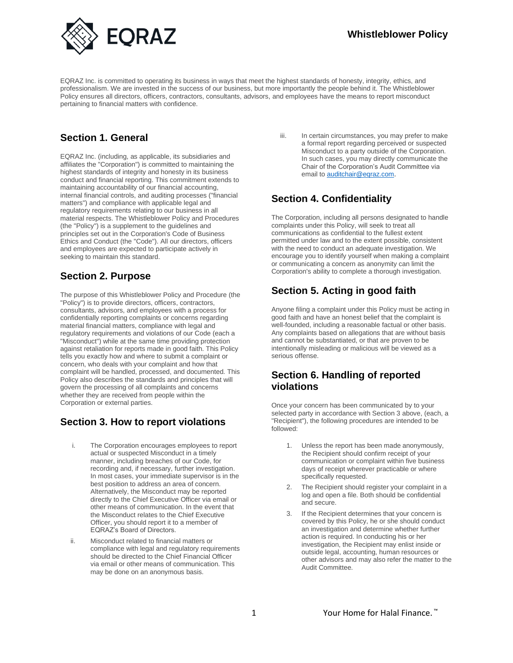

EQRAZ Inc. is committed to operating its business in ways that meet the highest standards of honesty, integrity, ethics, and professionalism. We are invested in the success of our business, but more importantly the people behind it. The Whistleblower Policy ensures all directors, officers, contractors, consultants, advisors, and employees have the means to report misconduct pertaining to financial matters with confidence.

# **Section 1. General**

EQRAZ Inc. (including, as applicable, its subsidiaries and affiliates the "Corporation") is committed to maintaining the highest standards of integrity and honesty in its business conduct and financial reporting. This commitment extends to maintaining accountability of our financial accounting, internal financial controls, and auditing processes ("financial matters") and compliance with applicable legal and regulatory requirements relating to our business in all material respects. The Whistleblower Policy and Procedures (the "Policy") is a supplement to the guidelines and principles set out in the Corporation's Code of Business Ethics and Conduct (the "Code"). All our directors, officers and employees are expected to participate actively in seeking to maintain this standard.

# **Section 2. Purpose**

The purpose of this Whistleblower Policy and Procedure (the "Policy") is to provide directors, officers, contractors, consultants, advisors, and employees with a process for confidentially reporting complaints or concerns regarding material financial matters, compliance with legal and regulatory requirements and violations of our Code (each a "Misconduct") while at the same time providing protection against retaliation for reports made in good faith. This Policy tells you exactly how and where to submit a complaint or concern, who deals with your complaint and how that complaint will be handled, processed, and documented. This Policy also describes the standards and principles that will govern the processing of all complaints and concerns whether they are received from people within the Corporation or external parties.

#### **Section 3. How to report violations**

- i. The Corporation encourages employees to report actual or suspected Misconduct in a timely manner, including breaches of our Code, for recording and, if necessary, further investigation. In most cases, your immediate supervisor is in the best position to address an area of concern. Alternatively, the Misconduct may be reported directly to the Chief Executive Officer via email or other means of communication. In the event that the Misconduct relates to the Chief Executive Officer, you should report it to a member of EQRAZ's Board of Directors.
- ii. Misconduct related to financial matters or compliance with legal and regulatory requirements should be directed to the Chief Financial Officer via email or other means of communication. This may be done on an anonymous basis.

iii. In certain circumstances, you may prefer to make a formal report regarding perceived or suspected Misconduct to a party outside of the Corporation. In such cases, you may directly communicate the Chair of the Corporation's Audit Committee via email t[o auditchair@eqraz.com.](mailto:auditchair@eqraz.com)

## **Section 4. Confidentiality**

The Corporation, including all persons designated to handle complaints under this Policy, will seek to treat all communications as confidential to the fullest extent permitted under law and to the extent possible, consistent with the need to conduct an adequate investigation. We encourage you to identify yourself when making a complaint or communicating a concern as anonymity can limit the Corporation's ability to complete a thorough investigation.

### **Section 5. Acting in good faith**

Anyone filing a complaint under this Policy must be acting in good faith and have an honest belief that the complaint is well-founded, including a reasonable factual or other basis. Any complaints based on allegations that are without basis and cannot be substantiated, or that are proven to be intentionally misleading or malicious will be viewed as a serious offense.

#### **Section 6. Handling of reported violations**

Once your concern has been communicated by to your selected party in accordance with Section 3 above, (each, a "Recipient"), the following procedures are intended to be followed:

- 1. Unless the report has been made anonymously, the Recipient should confirm receipt of your communication or complaint within five business days of receipt wherever practicable or where specifically requested.
- 2. The Recipient should register your complaint in a log and open a file. Both should be confidential and secure.
- 3. If the Recipient determines that your concern is covered by this Policy, he or she should conduct an investigation and determine whether further action is required. In conducting his or her investigation, the Recipient may enlist inside or outside legal, accounting, human resources or other advisors and may also refer the matter to the Audit Committee.